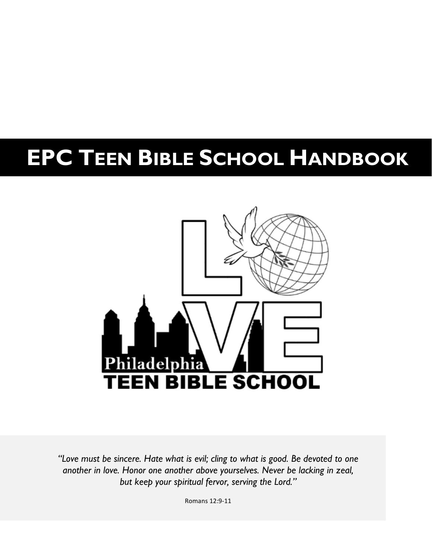# **EPC TEEN BIBLE SCHOOL HANDBOOK**



*"Love must be sincere. Hate what is evil; cling to what is good. Be devoted to one another in love. Honor one another above yourselves. Never be lacking in zeal, but keep your spiritual fervor, serving the Lord."*

Romans 12:9-11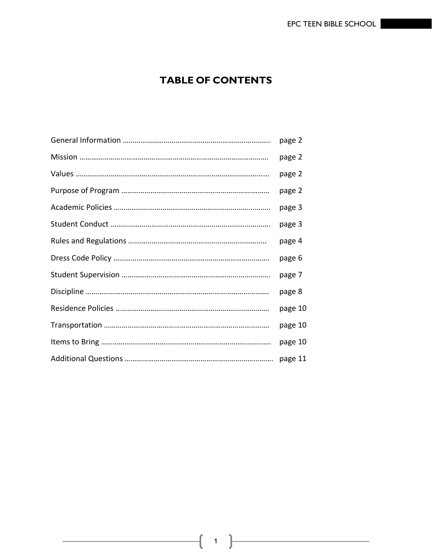# **TABLE OF CONTENTS**

| page 2  |
|---------|
| page 2  |
| page 2  |
| page 2  |
| page 3  |
| page 3  |
| page 4  |
| page 6  |
| page 7  |
| page 8  |
| page 10 |
| page 10 |
| page 10 |
| page 11 |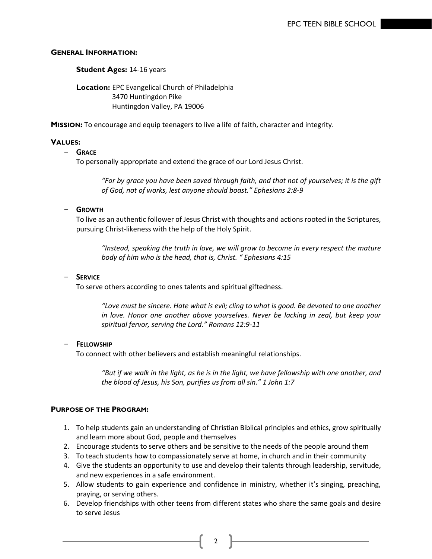## **GENERAL INFORMATION:**

**Student Ages:** 14-16 years

**Location:** EPC Evangelical Church of Philadelphia 3470 Huntingdon Pike Huntingdon Valley, PA 19006

**MISSION:** To encourage and equip teenagers to live a life of faith, character and integrity.

# **VALUES:**

## - **GRACE**

To personally appropriate and extend the grace of our Lord Jesus Christ.

*"For by grace you have been saved through faith, and that not of yourselves; it is the gift of God, not of works, lest anyone should boast." Ephesians 2:8-9*

## - **GROWTH**

To live as an authentic follower of Jesus Christ with thoughts and actions rooted in the Scriptures, pursuing Christ-likeness with the help of the Holy Spirit.

*"Instead, speaking the truth in love, we will grow to become in every respect the mature body of him who is the head, that is, Christ. " Ephesians 4:15*

## - **SERVICE**

To serve others according to ones talents and spiritual giftedness.

*"Love must be sincere. Hate what is evil; cling to what is good. Be devoted to one another in love. Honor one another above yourselves. Never be lacking in zeal, but keep your spiritual fervor, serving the Lord." Romans 12:9-11*

#### - **FELLOWSHIP**

To connect with other believers and establish meaningful relationships.

*"But if we walk in the light, as he is in the light, we have fellowship with one another, and the blood of Jesus, his Son, purifies us from all sin." 1 John 1:7*

# **PURPOSE OF THE PROGRAM:**

- 1. To help students gain an understanding of Christian Biblical principles and ethics, grow spiritually and learn more about God, people and themselves
- 2. Encourage students to serve others and be sensitive to the needs of the people around them
- 3. To teach students how to compassionately serve at home, in church and in their community
- 4. Give the students an opportunity to use and develop their talents through leadership, servitude, and new experiences in a safe environment.
- 5. Allow students to gain experience and confidence in ministry, whether it's singing, preaching, praying, or serving others.
- 6. Develop friendships with other teens from different states who share the same goals and desire to serve Jesus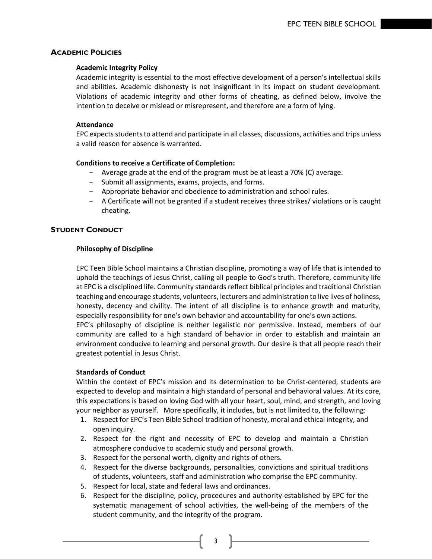# **ACADEMIC POLICIES**

#### **Academic Integrity Policy**

Academic integrity is essential to the most effective development of a person's intellectual skills and abilities. Academic dishonesty is not insignificant in its impact on student development. Violations of academic integrity and other forms of cheating, as defined below, involve the intention to deceive or mislead or misrepresent, and therefore are a form of lying.

## **Attendance**

EPC expects students to attend and participate in all classes, discussions, activities and trips unless a valid reason for absence is warranted.

## **Conditions to receive a Certificate of Completion:**

- Average grade at the end of the program must be at least a 70% (C) average.
- Submit all assignments, exams, projects, and forms.
- Appropriate behavior and obedience to administration and school rules.
- A Certificate will not be granted if a student receives three strikes/ violations or is caught cheating.

## **STUDENT CONDUCT**

## **Philosophy of Discipline**

EPC Teen Bible School maintains a Christian discipline, promoting a way of life that is intended to uphold the teachings of Jesus Christ, calling all people to God's truth. Therefore, community life at EPC is a disciplined life. Community standards reflect biblical principles and traditional Christian teaching and encourage students, volunteers, lecturers and administration to live lives of holiness, honesty, decency and civility. The intent of all discipline is to enhance growth and maturity, especially responsibility for one's own behavior and accountability for one's own actions. EPC's philosophy of discipline is neither legalistic nor permissive. Instead, members of our community are called to a high standard of behavior in order to establish and maintain an environment conducive to learning and personal growth. Our desire is that all people reach their greatest potential in Jesus Christ.

#### **Standards of Conduct**

Within the context of EPC's mission and its determination to be Christ-centered, students are expected to develop and maintain a high standard of personal and behavioral values. At its core, this expectations is based on loving God with all your heart, soul, mind, and strength, and loving your neighbor as yourself. More specifically, it includes, but is not limited to, the following:

- 1. Respect for EPC's Teen Bible School tradition of honesty, moral and ethical integrity, and open inquiry.
- 2. Respect for the right and necessity of EPC to develop and maintain a Christian atmosphere conducive to academic study and personal growth.
- 3. Respect for the personal worth, dignity and rights of others.
- 4. Respect for the diverse backgrounds, personalities, convictions and spiritual traditions of students, volunteers, staff and administration who comprise the EPC community.
- 5. Respect for local, state and federal laws and ordinances.
- 6. Respect for the discipline, policy, procedures and authority established by EPC for the systematic management of school activities, the well-being of the members of the student community, and the integrity of the program.

 $3 \uparrow$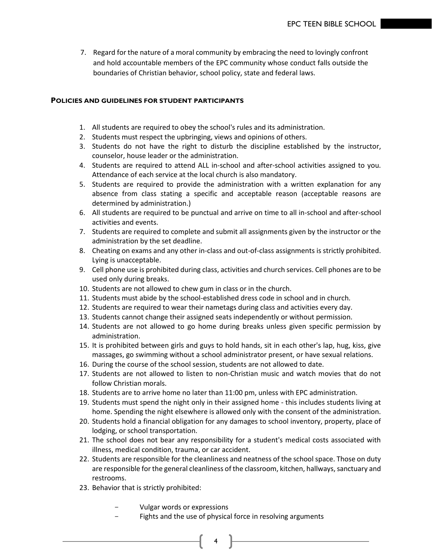7. Regard for the nature of a moral community by embracing the need to lovingly confront and hold accountable members of the EPC community whose conduct falls outside the boundaries of Christian behavior, school policy, state and federal laws.

#### **POLICIES AND GUIDELINES FOR STUDENT PARTICIPANTS**

- 1. All students are required to obey the school's rules and its administration.
- 2. Students must respect the upbringing, views and opinions of others.
- 3. Students do not have the right to disturb the discipline established by the instructor, counselor, house leader or the administration.
- 4. Students are required to attend ALL in-school and after-school activities assigned to you. Attendance of each service at the local church is also mandatory.
- 5. Students are required to provide the administration with a written explanation for any absence from class stating a specific and acceptable reason (acceptable reasons are determined by administration.)
- 6. All students are required to be punctual and arrive on time to all in-school and after-school activities and events.
- 7. Students are required to complete and submit all assignments given by the instructor or the administration by the set deadline.
- 8. Cheating on exams and any other in-class and out-of-class assignments is strictly prohibited. Lying is unacceptable.
- 9. Cell phone use is prohibited during class, activities and church services. Cell phones are to be used only during breaks.
- 10. Students are not allowed to chew gum in class or in the church.
- 11. Students must abide by the school-established dress code in school and in church.
- 12. Students are required to wear their nametags during class and activities every day.
- 13. Students cannot change their assigned seats independently or without permission.
- 14. Students are not allowed to go home during breaks unless given specific permission by administration.
- 15. It is prohibited between girls and guys to hold hands, sit in each other's lap, hug, kiss, give massages, go swimming without a school administrator present, or have sexual relations.
- 16. During the course of the school session, students are not allowed to date.
- 17. Students are not allowed to listen to non-Christian music and watch movies that do not follow Christian morals.
- 18. Students are to arrive home no later than 11:00 pm, unless with EPC administration.
- 19. Students must spend the night only in their assigned home this includes students living at home. Spending the night elsewhere is allowed only with the consent of the administration.
- 20. Students hold a financial obligation for any damages to school inventory, property, place of lodging, or school transportation.
- 21. The school does not bear any responsibility for a student's medical costs associated with illness, medical condition, trauma, or car accident.
- 22. Students are responsible for the cleanliness and neatness of the school space. Those on duty are responsible for the general cleanliness of the classroom, kitchen, hallways, sanctuary and restrooms.
- 23. Behavior that is strictly prohibited:
	- Vulgar words or expressions
	- Fights and the use of physical force in resolving arguments

 $\uparrow$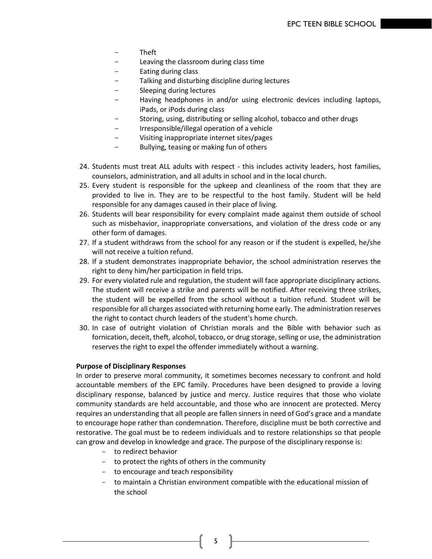- Theft
- Leaving the classroom during class time
- Eating during class
- Talking and disturbing discipline during lectures
- Sleeping during lectures
- Having headphones in and/or using electronic devices including laptops, iPads, or iPods during class
- Storing, using, distributing or selling alcohol, tobacco and other drugs
- Irresponsible/illegal operation of a vehicle
- Visiting inappropriate internet sites/pages
- Bullying, teasing or making fun of others
- 24. Students must treat ALL adults with respect this includes activity leaders, host families, counselors, administration, and all adults in school and in the local church.
- 25. Every student is responsible for the upkeep and cleanliness of the room that they are provided to live in. They are to be respectful to the host family. Student will be held responsible for any damages caused in their place of living.
- 26. Students will bear responsibility for every complaint made against them outside of school such as misbehavior, inappropriate conversations, and violation of the dress code or any other form of damages.
- 27. If a student withdraws from the school for any reason or if the student is expelled, he/she will not receive a tuition refund.
- 28. If a student demonstrates inappropriate behavior, the school administration reserves the right to deny him/her participation in field trips.
- 29. For every violated rule and regulation, the student will face appropriate disciplinary actions. The student will receive a strike and parents will be notified. After receiving three strikes, the student will be expelled from the school without a tuition refund. Student will be responsible for all charges associated with returning home early. The administration reserves the right to contact church leaders of the student's home church.
- 30. In case of outright violation of Christian morals and the Bible with behavior such as fornication, deceit, theft, alcohol, tobacco, or drug storage, selling or use, the administration reserves the right to expel the offender immediately without a warning.

#### **Purpose of Disciplinary Responses**

In order to preserve moral community, it sometimes becomes necessary to confront and hold accountable members of the EPC family. Procedures have been designed to provide a loving disciplinary response, balanced by justice and mercy. Justice requires that those who violate community standards are held accountable, and those who are innocent are protected. Mercy requires an understanding that all people are fallen sinners in need of God's grace and a mandate to encourage hope rather than condemnation. Therefore, discipline must be both corrective and restorative. The goal must be to redeem individuals and to restore relationships so that people can grow and develop in knowledge and grace. The purpose of the disciplinary response is:

- to redirect behavior
- to protect the rights of others in the community
- to encourage and teach responsibility
- to maintain a Christian environment compatible with the educational mission of the school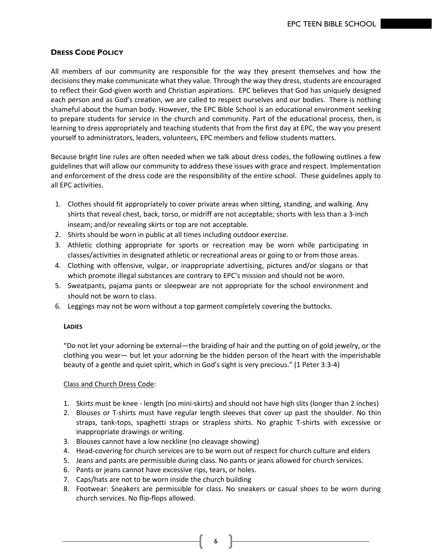# **DRESS CODE POLICY**

All members of our community are responsible for the way they present themselves and how the decisions they make communicate what they value. Through the way they dress, students are encouraged to reflect their God-given worth and Christian aspirations. EPC believes that God has uniquely designed each person and as God's creation, we are called to respect ourselves and our bodies. There is nothing shameful about the human body. However, the EPC Bible School is an educational environment seeking to prepare students for service in the church and community. Part of the educational process, then, is learning to dress appropriately and teaching students that from the first day at EPC, the way you present yourself to administrators, leaders, volunteers, EPC members and fellow students matters.

Because bright line rules are often needed when we talk about dress codes, the following outlines a few guidelines that will allow our community to address these issues with grace and respect. Implementation and enforcement of the dress code are the responsibility of the entire school. These guidelines apply to all EPC activities.

- 1. Clothes should fit appropriately to cover private areas when sitting, standing, and walking. Any shirts that reveal chest, back, torso, or midriff are not acceptable; shorts with less than a 3-inch inseam; and/or revealing skirts or top are not acceptable.
- 2. Shirts should be worn in public at all times including outdoor exercise.
- 3. Athletic clothing appropriate for sports or recreation may be worn while participating in classes/activities in designated athletic or recreational areas or going to or from those areas.
- 4. Clothing with offensive, vulgar, or inappropriate advertising, pictures and/or slogans or that which promote illegal substances are contrary to EPC's mission and should not be worn.
- 5. Sweatpants, pajama pants or sleepwear are not appropriate for the school environment and should not be worn to class.
- 6. Leggings may not be worn without a top garment completely covering the buttocks.

# **LADIES**

"Do not let your adorning be external—the braiding of hair and the putting on of gold jewelry, or the clothing you wear— but let your adorning be the hidden person of the heart with the imperishable beauty of a gentle and quiet spirit, which in God's sight is very precious." (1 Peter 3:3-4)

# Class and Church Dress Code:

- 1. Skirts must be knee length (no mini-skirts) and should not have high slits (longer than 2 inches)
- 2. Blouses or T-shirts must have regular length sleeves that cover up past the shoulder. No thin straps, tank-tops, spaghetti straps or strapless shirts. No graphic T-shirts with excessive or inappropriate drawings or writing.
- 3. Blouses cannot have a low neckline (no cleavage showing)
- 4. Head-covering for church services are to be worn out of respect for church culture and elders
- 5. Jeans and pants are permissible during class. No pants or jeans allowed for church services.
- 6. Pants or jeans cannot have excessive rips, tears, or holes.
- 7. Caps/hats are not to be worn inside the church building
- 8. Footwear: Sneakers are permissible for class. No sneakers or casual shoes to be worn during church services. No flip-flops allowed.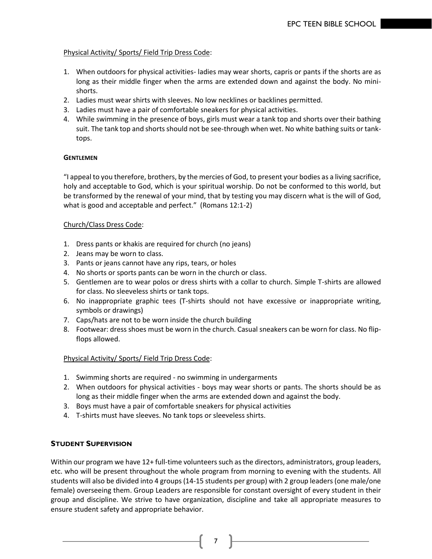# Physical Activity/ Sports/ Field Trip Dress Code:

- 1. When outdoors for physical activities- ladies may wear shorts, capris or pants if the shorts are as long as their middle finger when the arms are extended down and against the body. No minishorts.
- 2. Ladies must wear shirts with sleeves. No low necklines or backlines permitted.
- 3. Ladies must have a pair of comfortable sneakers for physical activities.
- 4. While swimming in the presence of boys, girls must wear a tank top and shorts over their bathing suit. The tank top and shorts should not be see-through when wet. No white bathing suits or tanktops.

# **GENTLEMEN**

"I appeal to you therefore, brothers, by the mercies of God, to present your bodies as a living sacrifice, holy and acceptable to God, which is your spiritual worship. Do not be conformed to this world, but be transformed by the renewal of your mind, that by testing you may discern what is the will of God, what is good and acceptable and perfect." (Romans 12:1-2)

# Church/Class Dress Code:

- 1. Dress pants or khakis are required for church (no jeans)
- 2. Jeans may be worn to class.
- 3. Pants or jeans cannot have any rips, tears, or holes
- 4. No shorts or sports pants can be worn in the church or class.
- 5. Gentlemen are to wear polos or dress shirts with a collar to church. Simple T-shirts are allowed for class. No sleeveless shirts or tank tops.
- 6. No inappropriate graphic tees (T-shirts should not have excessive or inappropriate writing, symbols or drawings)
- 7. Caps/hats are not to be worn inside the church building
- 8. Footwear: dress shoes must be worn in the church. Casual sneakers can be worn for class. No flipflops allowed.

# Physical Activity/ Sports/ Field Trip Dress Code:

- 1. Swimming shorts are required no swimming in undergarments
- 2. When outdoors for physical activities boys may wear shorts or pants. The shorts should be as long as their middle finger when the arms are extended down and against the body.
- 3. Boys must have a pair of comfortable sneakers for physical activities
- 4. T-shirts must have sleeves. No tank tops or sleeveless shirts.

# **STUDENT SUPERVISION**

Within our program we have 12+ full-time volunteers such as the directors, administrators, group leaders, etc. who will be present throughout the whole program from morning to evening with the students. All students will also be divided into 4 groups (14-15 students per group) with 2 group leaders (one male/one female) overseeing them. Group Leaders are responsible for constant oversight of every student in their group and discipline. We strive to have organization, discipline and take all appropriate measures to ensure student safety and appropriate behavior.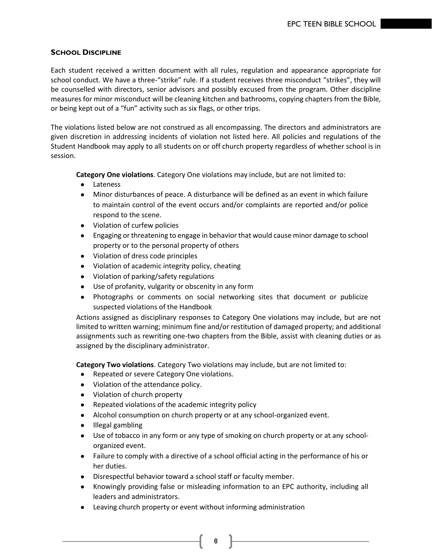# **SCHOOL DISCIPLINE**

Each student received a written document with all rules, regulation and appearance appropriate for school conduct. We have a three-"strike" rule. If a student receives three misconduct "strikes", they will be counselled with directors, senior advisors and possibly excused from the program. Other discipline measures for minor misconduct will be cleaning kitchen and bathrooms, copying chapters from the Bible, or being kept out of a "fun" activity such as six flags, or other trips.

The violations listed below are not construed as all encompassing. The directors and administrators are given discretion in addressing incidents of violation not listed here. All policies and regulations of the Student Handbook may apply to all students on or off church property regardless of whether school is in session.

**Category One violations**. Category One violations may include, but are not limited to:

- Lateness
- Minor disturbances of peace. A disturbance will be defined as an event in which failure to maintain control of the event occurs and/or complaints are reported and/or police respond to the scene.
- Violation of curfew policies
- Engaging or threatening to engage in behavior that would cause minor damage to school property or to the personal property of others
- Violation of dress code principles
- Violation of academic integrity policy, cheating
- Violation of parking/safety regulations
- Use of profanity, vulgarity or obscenity in any form
- Photographs or comments on social networking sites that document or publicize suspected violations of the Handbook

Actions assigned as disciplinary responses to Category One violations may include, but are not limited to written warning; minimum fine and/or restitution of damaged property; and additional assignments such as rewriting one-two chapters from the Bible, assist with cleaning duties or as assigned by the disciplinary administrator.

**Category Two violations**. Category Two violations may include, but are not limited to:

- Repeated or severe Category One violations.
- Violation of the attendance policy.
- Violation of church property
- Repeated violations of the academic integrity policy
- Alcohol consumption on church property or at any school-organized event.
- Illegal gambling
- Use of tobacco in any form or any type of smoking on church property or at any schoolorganized event.
- Failure to comply with a directive of a school official acting in the performance of his or her duties.
- Disrespectful behavior toward a school staff or faculty member.
- Knowingly providing false or misleading information to an EPC authority, including all leaders and administrators.
- Leaving church property or event without informing administration
	- 8 |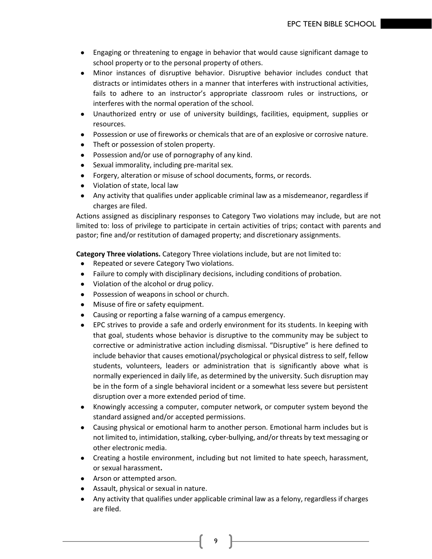- Engaging or threatening to engage in behavior that would cause significant damage to school property or to the personal property of others.
- Minor instances of disruptive behavior. Disruptive behavior includes conduct that distracts or intimidates others in a manner that interferes with instructional activities, fails to adhere to an instructor's appropriate classroom rules or instructions, or interferes with the normal operation of the school.
- Unauthorized entry or use of university buildings, facilities, equipment, supplies or resources.
- Possession or use of fireworks or chemicals that are of an explosive or corrosive nature.
- Theft or possession of stolen property.
- Possession and/or use of pornography of any kind.
- Sexual immorality, including pre-marital sex.
- Forgery, alteration or misuse of school documents, forms, or records.
- Violation of state, local law
- Any activity that qualifies under applicable criminal law as a misdemeanor, regardless if charges are filed.

Actions assigned as disciplinary responses to Category Two violations may include, but are not limited to: loss of privilege to participate in certain activities of trips; contact with parents and pastor; fine and/or restitution of damaged property; and discretionary assignments.

**Category Three violations.** Category Three violations include, but are not limited to:

- Repeated or severe Category Two violations.
- Failure to comply with disciplinary decisions, including conditions of probation.
- Violation of the alcohol or drug policy.
- Possession of weapons in school or church.
- Misuse of fire or safety equipment.
- Causing or reporting a false warning of a campus emergency.
- EPC strives to provide a safe and orderly environment for its students. In keeping with that goal, students whose behavior is disruptive to the community may be subject to corrective or administrative action including dismissal. "Disruptive" is here defined to include behavior that causes emotional/psychological or physical distress to self, fellow students, volunteers, leaders or administration that is significantly above what is normally experienced in daily life, as determined by the university. Such disruption may be in the form of a single behavioral incident or a somewhat less severe but persistent disruption over a more extended period of time.
- Knowingly accessing a computer, computer network, or computer system beyond the standard assigned and/or accepted permissions.
- Causing physical or emotional harm to another person. Emotional harm includes but is not limited to, intimidation, stalking, cyber-bullying, and/or threats by text messaging or other electronic media.
- Creating a hostile environment, including but not limited to hate speech, [harassment,](http://www.acu.edu/campusoffices/hr/handbook/400_conduct.html)  [or sexual harassment](http://www.acu.edu/campusoffices/hr/handbook/400_conduct.html)**.**
- Arson or attempted arson.
- Assault, physical or sexual in nature.
- Any activity that qualifies under applicable criminal law as a felony, regardless if charges are filed.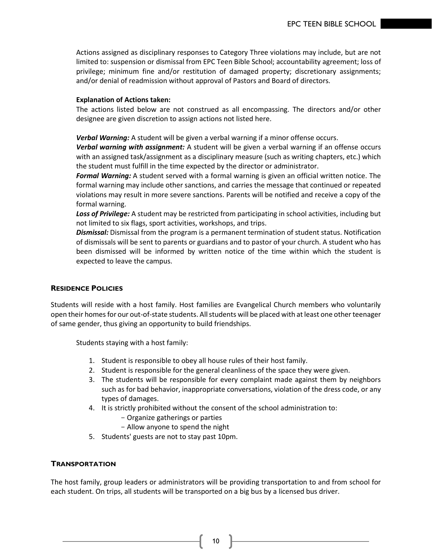Actions assigned as disciplinary responses to Category Three violations may include, but are not limited to: suspension or dismissal from EPC Teen Bible School; accountability agreement; loss of privilege; minimum fine and/or restitution of damaged property; discretionary assignments; and/or denial of readmission without approval of Pastors and Board of directors.

#### **Explanation of Actions taken:**

The actions listed below are not construed as all encompassing. The directors and/or other designee are given discretion to assign actions not listed here.

*Verbal Warning:* A student will be given a verbal warning if a minor offense occurs.

*Verbal warning with assignment:* A student will be given a verbal warning if an offense occurs with an assigned task/assignment as a disciplinary measure (such as writing chapters, etc.) which the student must fulfill in the time expected by the director or administrator.

*Formal Warning:* A student served with a formal warning is given an official written notice. The formal warning may include other sanctions, and carries the message that continued or repeated violations may result in more severe sanctions. Parents will be notified and receive a copy of the formal warning.

*Loss of Privilege:* A student may be restricted from participating in school activities, including but not limited to six flags, sport activities, workshops, and trips.

*Dismissal:* Dismissal from the program is a permanent termination of student status. Notification of dismissals will be sent to parents or guardians and to pastor of your church. A student who has been dismissed will be informed by written notice of the time within which the student is expected to leave the campus.

# **RESIDENCE POLICIES**

Students will reside with a host family. Host families are Evangelical Church members who voluntarily open their homes for our out-of-state students. All students will be placed with at least one other teenager of same gender, thus giving an opportunity to build friendships.

Students staying with a host family:

- 1. Student is responsible to obey all house rules of their host family.
- 2. Student is responsible for the general cleanliness of the space they were given.
- 3. The students will be responsible for every complaint made against them by neighbors such as for bad behavior, inappropriate conversations, violation of the dress code, or any types of damages.
- 4. It is strictly prohibited without the consent of the school administration to:
	- Organize gatherings or parties
	- Allow anyone to spend the night
- 5. Students' guests are not to stay past 10pm.

# **TRANSPORTATION**

The host family, group leaders or administrators will be providing transportation to and from school for each student. On trips, all students will be transported on a big bus by a licensed bus driver.